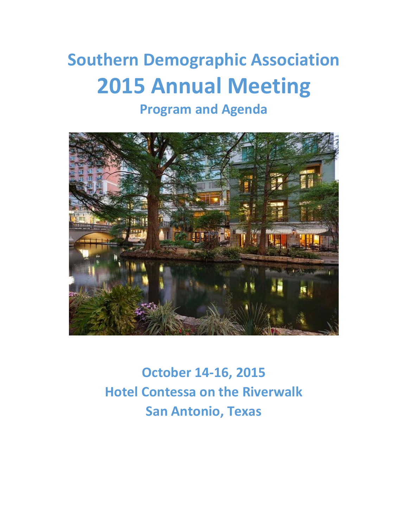# **Southern Demographic Association 2015 Annual Meeting**

# **Program and Agenda**



**October 14-16, 2015 Hotel Contessa on the Riverwalk San Antonio, Texas**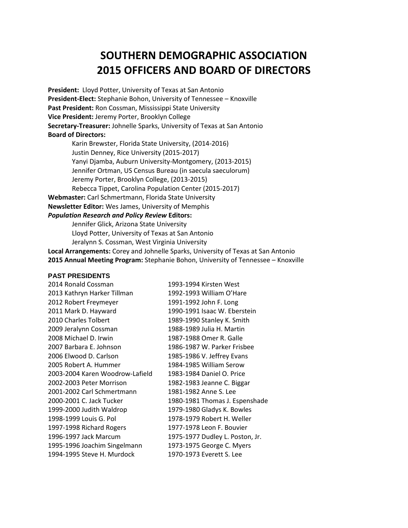## **SOUTHERN DEMOGRAPHIC ASSOCIATION 2015 OFFICERS AND BOARD OF DIRECTORS**

**President:** Lloyd Potter, University of Texas at San Antonio **President-Elect:** Stephanie Bohon, University of Tennessee – Knoxville **Past President:** Ron Cossman, Mississippi State University **Vice President:** Jeremy Porter, Brooklyn College **Secretary-Treasurer:** Johnelle Sparks, University of Texas at San Antonio **Board of Directors:** 

Karin Brewster, Florida State University, (2014-2016) Justin Denney, Rice University (2015-2017) Yanyi Djamba, Auburn University-Montgomery, (2013-2015) Jennifer Ortman, US Census Bureau (in saecula saeculorum) Jeremy Porter, Brooklyn College, (2013-2015) Rebecca Tippet, Carolina Population Center (2015-2017) **Webmaster:** Carl Schmertmann, Florida State University **Newsletter Editor:** Wes James, University of Memphis *Population Research and Policy Review* **Editors:**  Jennifer Glick, Arizona State University

Lloyd Potter, University of Texas at San Antonio Jeralynn S. Cossman, West Virginia University

**Local Arrangements:** Corey and Johnelle Sparks, University of Texas at San Antonio **2015 Annual Meeting Program:** Stephanie Bohon, University of Tennessee – Knoxville

#### **PAST PRESIDENTS**

| 2014 Ronald Cossman             | 1993-1994 Kirsten West          |
|---------------------------------|---------------------------------|
| 2013 Kathryn Harker Tillman     | 1992-1993 William O'Hare        |
| 2012 Robert Freymeyer           | 1991-1992 John F. Long          |
| 2011 Mark D. Hayward            | 1990-1991 Isaac W. Eberstein    |
| 2010 Charles Tolbert            | 1989-1990 Stanley K. Smith      |
| 2009 Jeralynn Cossman           | 1988-1989 Julia H. Martin       |
| 2008 Michael D. Irwin           | 1987-1988 Omer R. Galle         |
| 2007 Barbara E. Johnson         | 1986-1987 W. Parker Frisbee     |
| 2006 Elwood D. Carlson          | 1985-1986 V. Jeffrey Evans      |
| 2005 Robert A. Hummer           | 1984-1985 William Serow         |
| 2003-2004 Karen Woodrow-Lafield | 1983-1984 Daniel O. Price       |
| 2002-2003 Peter Morrison        | 1982-1983 Jeanne C. Biggar      |
| 2001-2002 Carl Schmertmann      | 1981-1982 Anne S. Lee           |
| 2000-2001 C. Jack Tucker        | 1980-1981 Thomas J. Espenshade  |
| 1999-2000 Judith Waldrop        | 1979-1980 Gladys K. Bowles      |
| 1998-1999 Louis G. Pol          | 1978-1979 Robert H. Weller      |
| 1997-1998 Richard Rogers        | 1977-1978 Leon F. Bouvier       |
| 1996-1997 Jack Marcum           | 1975-1977 Dudley L. Poston, Jr. |
| 1995-1996 Joachim Singelmann    | 1973-1975 George C. Myers       |
| 1994-1995 Steve H. Murdock      | 1970-1973 Everett S. Lee        |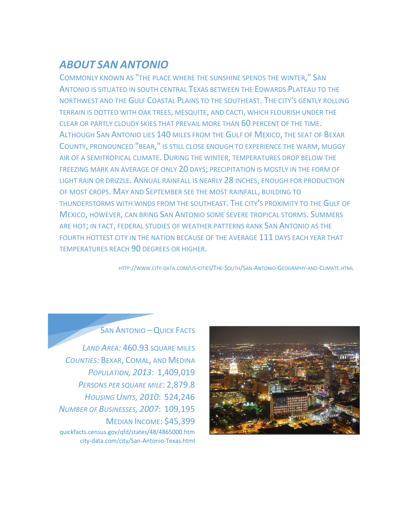### *ABOUT SAN ANTONIO*

COMMONLY KNOWN AS "THE PLACE WHERE THE SUNSHINE SPENDS THE WINTER," SAN ANTONIO IS SITUATED IN SOUTH CENTRAL TEXAS BETWEEN THE EDWARDS PLATEAU TO THE NORTHWEST AND THE GULF COASTAL PLAINS TO THE SOUTHEAST. THE CITY'S GENTLY ROLLING TERRAIN IS DOTTED WITH OAK TREES, MESQUITE, AND CACTI, WHICH FLOURISH UNDER THE CLEAR OR PARTLY CLOUDY SKIES THAT PREVAIL MORE THAN 60 PERCENT OF THE TIME. ALTHOUGH SAN ANTONIO LIES 140 MILES FROM THE GULF OF MEXICO, THE SEAT OF BEXAR COUNTY, PRONOUNCED "BEAR," IS STILL CLOSE ENOUGH TO EXPERIENCE THE WARM, MUGGY AIR OF A SEMITROPICAL CLIMATE. DURING THE WINTER, TEMPERATURES DROP BELOW THE FREEZING MARK AN AVERAGE OF ONLY 20 DAYS; PRECIPITATION IS MOSTLY IN THE FORM OF LIGHT RAIN OR DRIZZLE. ANNUAL RAINFALL IS NEARLY 28 INCHES, ENOUGH FOR PRODUCTION OF MOST CROPS. MAY AND SEPTEMBER SEE THE MOST RAINFALL, BUILDING TO THUNDERSTORMS WITH WINDS FROM THE SOUTHEAST. THE CITY'S PROXIMITY TO THE GULF OF MEXICO, HOWEVER, CAN BRING SAN ANTONIO SOME SEVERE TROPICAL STORMS. SUMMERS ARE HOT; IN FACT, FEDERAL STUDIES OF WEATHER PATTERNS RANK SAN ANTONIO AS THE FOURTH HOTTEST CITY IN THE NATION BECAUSE OF THE AVERAGE 111 DAYS EACH YEAR THAT TEMPERATURES REACH 90 DEGREES OR HIGHER.

HTTP://WWW.CITY-DATA.COM/US-CITIES/THE-SOUTH/SAN-ANTONIO-GEOGRAPHY-AND-CLIMATE.HTML



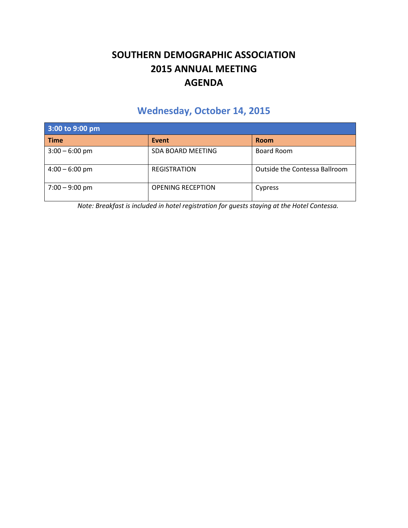### **SOUTHERN DEMOGRAPHIC ASSOCIATION 2015 ANNUAL MEETING AGENDA**

### **Wednesday, October 14, 2015**

| 3:00 to 9:00 pm  |                          |                               |
|------------------|--------------------------|-------------------------------|
| <b>Time</b>      | Event                    | <b>Room</b>                   |
| $3:00 - 6:00$ pm | SDA BOARD MEETING        | Board Room                    |
| $4:00 - 6:00$ pm | <b>REGISTRATION</b>      | Outside the Contessa Ballroom |
| $7:00 - 9:00$ pm | <b>OPENING RECEPTION</b> | Cypress                       |

*Note: Breakfast is included in hotel registration for guests staying at the Hotel Contessa.*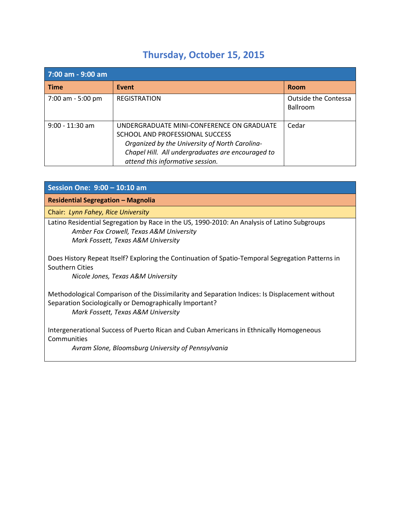# **Thursday, October 15, 2015**

| 7:00 am - 9:00 am |                                                                                                                                                                                                                         |                                         |
|-------------------|-------------------------------------------------------------------------------------------------------------------------------------------------------------------------------------------------------------------------|-----------------------------------------|
| <b>Time</b>       | Event                                                                                                                                                                                                                   | Room                                    |
| 7:00 am - 5:00 pm | <b>REGISTRATION</b>                                                                                                                                                                                                     | Outside the Contessa<br><b>Ballroom</b> |
| $9:00 - 11:30$ am | UNDERGRADUATE MINI-CONFERENCE ON GRADUATE<br>SCHOOL AND PROFESSIONAL SUCCESS<br>Organized by the University of North Carolina-<br>Chapel Hill. All undergraduates are encouraged to<br>attend this informative session. | Cedar                                   |

| Session One: 9:00 - 10:10 am                                                                                                                                                                    |
|-------------------------------------------------------------------------------------------------------------------------------------------------------------------------------------------------|
| <b>Residential Segregation - Magnolia</b>                                                                                                                                                       |
| Chair: Lynn Fahey, Rice University                                                                                                                                                              |
| Latino Residential Segregation by Race in the US, 1990-2010: An Analysis of Latino Subgroups<br>Amber Fox Crowell, Texas A&M University<br>Mark Fossett, Texas A&M University                   |
| Does History Repeat Itself? Exploring the Continuation of Spatio-Temporal Segregation Patterns in<br>Southern Cities<br>Nicole Jones, Texas A&M University                                      |
| Methodological Comparison of the Dissimilarity and Separation Indices: Is Displacement without<br>Separation Sociologically or Demographically Important?<br>Mark Fossett, Texas A&M University |
| Intergenerational Success of Puerto Rican and Cuban Americans in Ethnically Homogeneous<br>Communities<br>Avram Slone, Bloomsburg University of Pennsylvania                                    |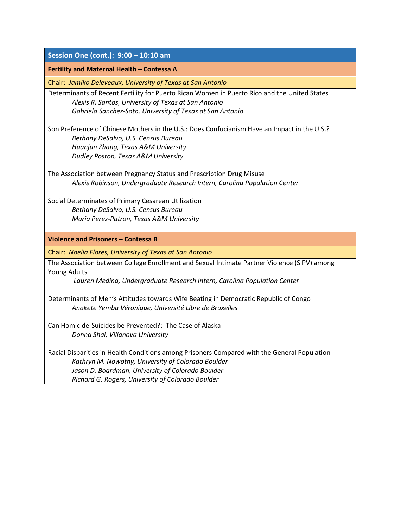| Session One (cont.): 9:00 - 10:10 am                                                         |
|----------------------------------------------------------------------------------------------|
| Fertility and Maternal Health - Contessa A                                                   |
| Chair: Jamiko Deleveaux, University of Texas at San Antonio                                  |
| Determinants of Recent Fertility for Puerto Rican Women in Puerto Rico and the United States |
| Alexis R. Santos, University of Texas at San Antonio                                         |
| Gabriela Sanchez-Soto, University of Texas at San Antonio                                    |
| Son Preference of Chinese Mothers in the U.S.: Does Confucianism Have an Impact in the U.S.? |
| Bethany DeSalvo, U.S. Census Bureau                                                          |
| Huanjun Zhang, Texas A&M University                                                          |
| Dudley Poston, Texas A&M University                                                          |
| The Association between Pregnancy Status and Prescription Drug Misuse                        |
| Alexis Robinson, Undergraduate Research Intern, Carolina Population Center                   |
|                                                                                              |
| Social Determinates of Primary Cesarean Utilization                                          |
| Bethany DeSalvo, U.S. Census Bureau                                                          |
| Maria Perez-Patron, Texas A&M University                                                     |
| Violence and Prisoners - Contessa B                                                          |
| Chair: Noelia Flores, University of Texas at San Antonio                                     |
| The Association between College Enrollment and Sexual Intimate Partner Violence (SIPV) among |
| <b>Young Adults</b>                                                                          |
| Lauren Medina, Undergraduate Research Intern, Carolina Population Center                     |
| Determinants of Men's Attitudes towards Wife Beating in Democratic Republic of Congo         |
| Anakete Yemba Véronique, Université Libre de Bruxelles                                       |
| Can Homicide-Suicides be Prevented?: The Case of Alaska                                      |
| Donna Shai, Villanova University                                                             |
|                                                                                              |
| Racial Disparities in Health Conditions among Prisoners Compared with the General Population |
| Kathryn M. Nowotny, University of Colorado Boulder                                           |
| Jason D. Boardman, University of Colorado Boulder                                            |
| Richard G. Rogers, University of Colorado Boulder                                            |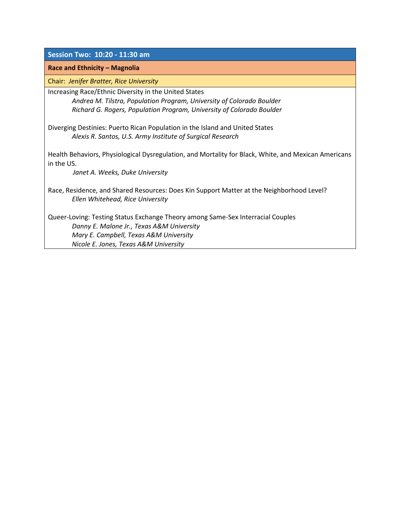**Session Two: 10:20 - 11:30 am** 

#### **Race and Ethnicity – Magnolia**

Chair: *Jenifer Bratter, Rice University*

Increasing Race/Ethnic Diversity in the United States

*Andrea M. Tilstra, Population Program, University of Colorado Boulder Richard G. Rogers, Population Program, University of Colorado Boulder*

Diverging Destinies: Puerto Rican Population in the Island and United States *Alexis R. Santos, U.S. Army Institute of Surgical Research*

Health Behaviors, Physiological Dysregulation, and Mortality for Black, White, and Mexican Americans in the US.

 *Janet A. Weeks, Duke University*

Race, Residence, and Shared Resources: Does Kin Support Matter at the Neighborhood Level? *Ellen Whitehead, Rice University*

Queer-Loving: Testing Status Exchange Theory among Same-Sex Interracial Couples *Danny E. Malone Jr., Texas A&M University Mary E. Campbell, Texas A&M University Nicole E. Jones, Texas A&M University*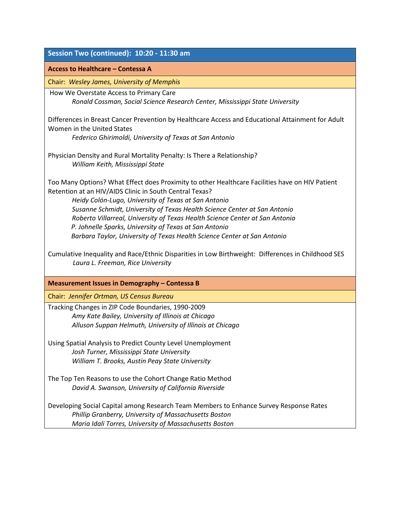| Session Two (continued): 10:20 - 11:30 am                                                                                                                                                                                                                                                                                                                                                                                                                                                                             |  |  |
|-----------------------------------------------------------------------------------------------------------------------------------------------------------------------------------------------------------------------------------------------------------------------------------------------------------------------------------------------------------------------------------------------------------------------------------------------------------------------------------------------------------------------|--|--|
| Access to Healthcare - Contessa A                                                                                                                                                                                                                                                                                                                                                                                                                                                                                     |  |  |
| Chair: Wesley James, University of Memphis                                                                                                                                                                                                                                                                                                                                                                                                                                                                            |  |  |
| How We Overstate Access to Primary Care<br>Ronald Cossman, Social Science Research Center, Mississippi State University                                                                                                                                                                                                                                                                                                                                                                                               |  |  |
| Differences in Breast Cancer Prevention by Healthcare Access and Educational Attainment for Adult<br>Women in the United States<br>Federico Ghirimoldi, University of Texas at San Antonio                                                                                                                                                                                                                                                                                                                            |  |  |
| Physician Density and Rural Mortality Penalty: Is There a Relationship?<br>William Keith, Mississippi State                                                                                                                                                                                                                                                                                                                                                                                                           |  |  |
| Too Many Options? What Effect does Proximity to other Healthcare Facilities have on HIV Patient<br>Retention at an HIV/AIDS Clinic in South Central Texas?<br>Heidy Colón-Lugo, University of Texas at San Antonio<br>Susanne Schmidt, University of Texas Health Science Center at San Antonio<br>Roberto Villarreal, University of Texas Health Science Center at San Antonio<br>P. Johnelle Sparks, University of Texas at San Antonio<br>Barbara Taylor, University of Texas Health Science Center at San Antonio |  |  |
| Cumulative Inequality and Race/Ethnic Disparities in Low Birthweight: Differences in Childhood SES<br>Laura L. Freeman, Rice University                                                                                                                                                                                                                                                                                                                                                                               |  |  |
| Measurement Issues in Demography - Contessa B                                                                                                                                                                                                                                                                                                                                                                                                                                                                         |  |  |
| Chair: Jennifer Ortman, US Census Bureau                                                                                                                                                                                                                                                                                                                                                                                                                                                                              |  |  |
| Tracking Changes in ZIP Code Boundaries, 1990-2009<br>Amy Kate Bailey, University of Illinois at Chicago<br>Alluson Suppan Helmuth, University of Illinois at Chicago                                                                                                                                                                                                                                                                                                                                                 |  |  |
| Using Spatial Analysis to Predict County Level Unemployment<br>Josh Turner, Mississippi State University<br>William T. Brooks, Austin Peay State University                                                                                                                                                                                                                                                                                                                                                           |  |  |
| The Top Ten Reasons to use the Cohort Change Ratio Method<br>David A. Swanson, University of California Riverside                                                                                                                                                                                                                                                                                                                                                                                                     |  |  |
| Developing Social Capital among Research Team Members to Enhance Survey Response Rates<br>Phillip Granberry, University of Massachusetts Boston<br>Maria Idali Torres, University of Massachusetts Boston                                                                                                                                                                                                                                                                                                             |  |  |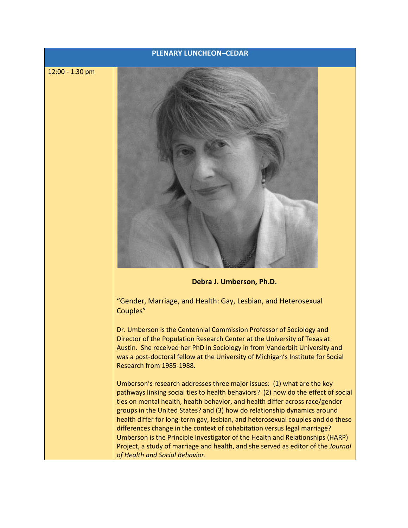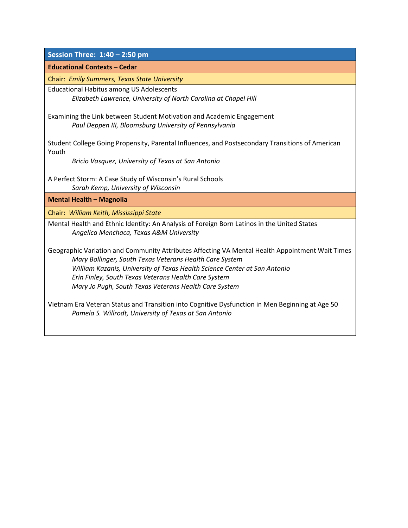| Session Three: 1:40 - 2:50 pm                                                                    |
|--------------------------------------------------------------------------------------------------|
| <b>Educational Contexts - Cedar</b>                                                              |
| Chair: Emily Summers, Texas State University                                                     |
| <b>Educational Habitus among US Adolescents</b>                                                  |
| Elizabeth Lawrence, University of North Carolina at Chapel Hill                                  |
| Examining the Link between Student Motivation and Academic Engagement                            |
| Paul Deppen III, Bloomsburg University of Pennsylvania                                           |
|                                                                                                  |
| Student College Going Propensity, Parental Influences, and Postsecondary Transitions of American |
| Youth                                                                                            |
| Bricio Vasquez, University of Texas at San Antonio                                               |
| A Perfect Storm: A Case Study of Wisconsin's Rural Schools                                       |
| Sarah Kemp, University of Wisconsin                                                              |
| <b>Mental Health - Magnolia</b>                                                                  |
| Chair: William Keith, Mississippi State                                                          |
| Mental Health and Ethnic Identity: An Analysis of Foreign Born Latinos in the United States      |
| Angelica Menchaca, Texas A&M University                                                          |
| Geographic Variation and Community Attributes Affecting VA Mental Health Appointment Wait Times  |
| Mary Bollinger, South Texas Veterans Health Care System                                          |
| William Kazanis, University of Texas Health Science Center at San Antonio                        |
| Erin Finley, South Texas Veterans Health Care System                                             |
| Mary Jo Pugh, South Texas Veterans Health Care System                                            |
|                                                                                                  |
| Vietnam Era Veteran Status and Transition into Cognitive Dysfunction in Men Beginning at Age 50  |
| Pamela S. Willrodt, University of Texas at San Antonio                                           |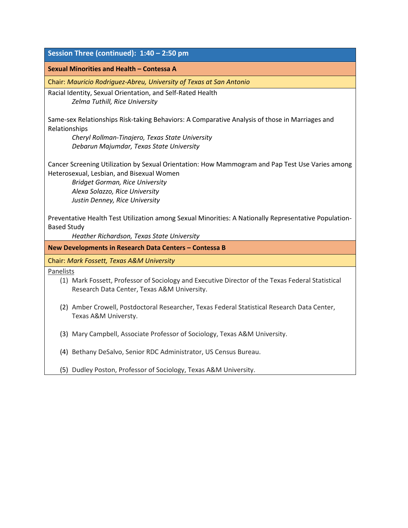| Sexual Minorities and Health - Contessa A<br>Chair: Mauricio Rodriguez-Abreu, University of Texas at San Antonio<br>Racial Identity, Sexual Orientation, and Self-Rated Health<br>Zelma Tuthill, Rice University<br>Same-sex Relationships Risk-taking Behaviors: A Comparative Analysis of those in Marriages and<br>Relationships<br>Cheryl Rollman-Tinajero, Texas State University<br>Debarun Majumdar, Texas State University<br>Cancer Screening Utilization by Sexual Orientation: How Mammogram and Pap Test Use Varies among<br>Heterosexual, Lesbian, and Bisexual Women<br><b>Bridget Gorman, Rice University</b><br>Alexa Solazzo, Rice University<br>Justin Denney, Rice University<br>Preventative Health Test Utilization among Sexual Minorities: A Nationally Representative Population-<br><b>Based Study</b><br>Heather Richardson, Texas State University<br>New Developments in Research Data Centers - Contessa B<br>Chair: Mark Fossett, Texas A&M University<br>Panelists<br>(1) Mark Fossett, Professor of Sociology and Executive Director of the Texas Federal Statistical<br>Research Data Center, Texas A&M University.<br>(2) Amber Crowell, Postdoctoral Researcher, Texas Federal Statistical Research Data Center,<br>Texas A&M Universty.<br>(3) Mary Campbell, Associate Professor of Sociology, Texas A&M University.<br>(4) Bethany DeSalvo, Senior RDC Administrator, US Census Bureau. | Session Three (continued): 1:40 - 2:50 pm                        |  |  |
|-------------------------------------------------------------------------------------------------------------------------------------------------------------------------------------------------------------------------------------------------------------------------------------------------------------------------------------------------------------------------------------------------------------------------------------------------------------------------------------------------------------------------------------------------------------------------------------------------------------------------------------------------------------------------------------------------------------------------------------------------------------------------------------------------------------------------------------------------------------------------------------------------------------------------------------------------------------------------------------------------------------------------------------------------------------------------------------------------------------------------------------------------------------------------------------------------------------------------------------------------------------------------------------------------------------------------------------------------------------------------------------------------------------------------------|------------------------------------------------------------------|--|--|
|                                                                                                                                                                                                                                                                                                                                                                                                                                                                                                                                                                                                                                                                                                                                                                                                                                                                                                                                                                                                                                                                                                                                                                                                                                                                                                                                                                                                                               |                                                                  |  |  |
|                                                                                                                                                                                                                                                                                                                                                                                                                                                                                                                                                                                                                                                                                                                                                                                                                                                                                                                                                                                                                                                                                                                                                                                                                                                                                                                                                                                                                               |                                                                  |  |  |
|                                                                                                                                                                                                                                                                                                                                                                                                                                                                                                                                                                                                                                                                                                                                                                                                                                                                                                                                                                                                                                                                                                                                                                                                                                                                                                                                                                                                                               |                                                                  |  |  |
|                                                                                                                                                                                                                                                                                                                                                                                                                                                                                                                                                                                                                                                                                                                                                                                                                                                                                                                                                                                                                                                                                                                                                                                                                                                                                                                                                                                                                               |                                                                  |  |  |
|                                                                                                                                                                                                                                                                                                                                                                                                                                                                                                                                                                                                                                                                                                                                                                                                                                                                                                                                                                                                                                                                                                                                                                                                                                                                                                                                                                                                                               |                                                                  |  |  |
|                                                                                                                                                                                                                                                                                                                                                                                                                                                                                                                                                                                                                                                                                                                                                                                                                                                                                                                                                                                                                                                                                                                                                                                                                                                                                                                                                                                                                               |                                                                  |  |  |
|                                                                                                                                                                                                                                                                                                                                                                                                                                                                                                                                                                                                                                                                                                                                                                                                                                                                                                                                                                                                                                                                                                                                                                                                                                                                                                                                                                                                                               |                                                                  |  |  |
|                                                                                                                                                                                                                                                                                                                                                                                                                                                                                                                                                                                                                                                                                                                                                                                                                                                                                                                                                                                                                                                                                                                                                                                                                                                                                                                                                                                                                               |                                                                  |  |  |
|                                                                                                                                                                                                                                                                                                                                                                                                                                                                                                                                                                                                                                                                                                                                                                                                                                                                                                                                                                                                                                                                                                                                                                                                                                                                                                                                                                                                                               |                                                                  |  |  |
|                                                                                                                                                                                                                                                                                                                                                                                                                                                                                                                                                                                                                                                                                                                                                                                                                                                                                                                                                                                                                                                                                                                                                                                                                                                                                                                                                                                                                               |                                                                  |  |  |
|                                                                                                                                                                                                                                                                                                                                                                                                                                                                                                                                                                                                                                                                                                                                                                                                                                                                                                                                                                                                                                                                                                                                                                                                                                                                                                                                                                                                                               |                                                                  |  |  |
|                                                                                                                                                                                                                                                                                                                                                                                                                                                                                                                                                                                                                                                                                                                                                                                                                                                                                                                                                                                                                                                                                                                                                                                                                                                                                                                                                                                                                               |                                                                  |  |  |
|                                                                                                                                                                                                                                                                                                                                                                                                                                                                                                                                                                                                                                                                                                                                                                                                                                                                                                                                                                                                                                                                                                                                                                                                                                                                                                                                                                                                                               |                                                                  |  |  |
|                                                                                                                                                                                                                                                                                                                                                                                                                                                                                                                                                                                                                                                                                                                                                                                                                                                                                                                                                                                                                                                                                                                                                                                                                                                                                                                                                                                                                               |                                                                  |  |  |
|                                                                                                                                                                                                                                                                                                                                                                                                                                                                                                                                                                                                                                                                                                                                                                                                                                                                                                                                                                                                                                                                                                                                                                                                                                                                                                                                                                                                                               |                                                                  |  |  |
|                                                                                                                                                                                                                                                                                                                                                                                                                                                                                                                                                                                                                                                                                                                                                                                                                                                                                                                                                                                                                                                                                                                                                                                                                                                                                                                                                                                                                               |                                                                  |  |  |
|                                                                                                                                                                                                                                                                                                                                                                                                                                                                                                                                                                                                                                                                                                                                                                                                                                                                                                                                                                                                                                                                                                                                                                                                                                                                                                                                                                                                                               | (5) Dudley Poston, Professor of Sociology, Texas A&M University. |  |  |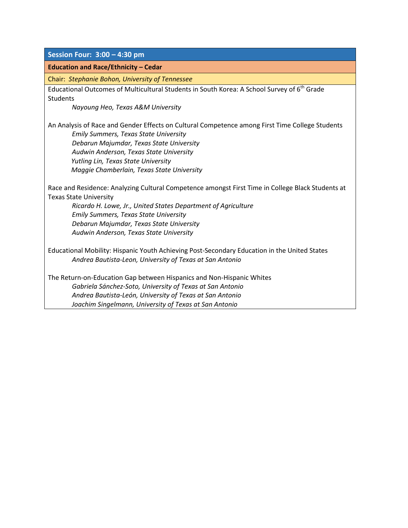**Session Four: 3:00 – 4:30 pm** 

#### **Education and Race/Ethnicity – Cedar**

Chair: *Stephanie Bohon, University of Tennessee*

Educational Outcomes of Multicultural Students in South Korea: A School Survey of 6<sup>th</sup> Grade **Students** 

*Nayoung Heo, Texas A&M University*

An Analysis of Race and Gender Effects on Cultural Competence among First Time College Students *Emily Summers, Texas State University Debarun Majumdar, Texas State University Audwin Anderson, Texas State University Yutling Lin, Texas State University Maggie Chamberlain, Texas State University*

Race and Residence: Analyzing Cultural Competence amongst First Time in College Black Students at Texas State University

*Ricardo H. Lowe, Jr., United States Department of Agriculture Emily Summers, Texas State University Debarun Majumdar, Texas State University Audwin Anderson, Texas State University*

Educational Mobility: Hispanic Youth Achieving Post-Secondary Education in the United States *Andrea Bautista-Leon, University of Texas at San Antonio*

The Return-on-Education Gap between Hispanics and Non-Hispanic Whites *Gabriela Sánchez-Soto, University of Texas at San Antonio Andrea Bautista-León, University of Texas at San Antonio Joachim Singelmann, University of Texas at San Antonio*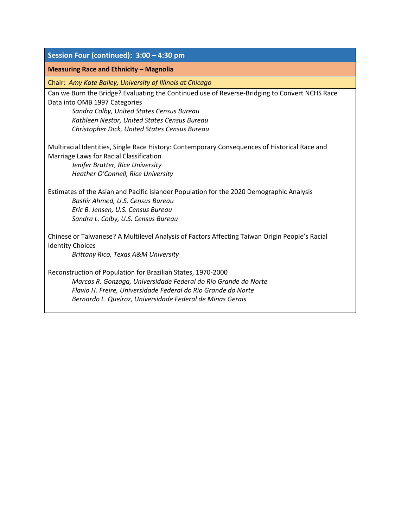| Session Four (continued): 3:00 - 4:30 pm                                                                                                                                                                                                                                     |  |  |
|------------------------------------------------------------------------------------------------------------------------------------------------------------------------------------------------------------------------------------------------------------------------------|--|--|
| <b>Measuring Race and Ethnicity - Magnolia</b>                                                                                                                                                                                                                               |  |  |
| Chair: Amy Kate Bailey, University of Illinois at Chicago                                                                                                                                                                                                                    |  |  |
| Can we Burn the Bridge? Evaluating the Continued use of Reverse-Bridging to Convert NCHS Race<br>Data into OMB 1997 Categories<br>Sandra Colby, United States Census Bureau<br>Kathleen Nestor, United States Census Bureau<br>Christopher Dick, United States Census Bureau |  |  |
| Multiracial Identities, Single Race History: Contemporary Consequences of Historical Race and<br>Marriage Laws for Racial Classification<br>Jenifer Bratter, Rice University<br>Heather O'Connell, Rice University                                                           |  |  |
| Estimates of the Asian and Pacific Islander Population for the 2020 Demographic Analysis<br>Bashir Ahmed, U.S. Census Bureau<br>Eric B. Jensen, U.S. Census Bureau<br>Sandra L. Colby, U.S. Census Bureau                                                                    |  |  |
| Chinese or Taiwanese? A Multilevel Analysis of Factors Affecting Taiwan Origin People's Racial<br><b>Identity Choices</b><br>Brittany Rico, Texas A&M University                                                                                                             |  |  |
| Reconstruction of Population for Brazilian States, 1970-2000<br>Marcos R. Gonzaga, Universidade Federal do Rio Grande do Norte<br>Flavio H. Freire, Universidade Federal do Rio Grande do Norte<br>Bernardo L. Queiroz, Universidade Federal de Minas Gerais                 |  |  |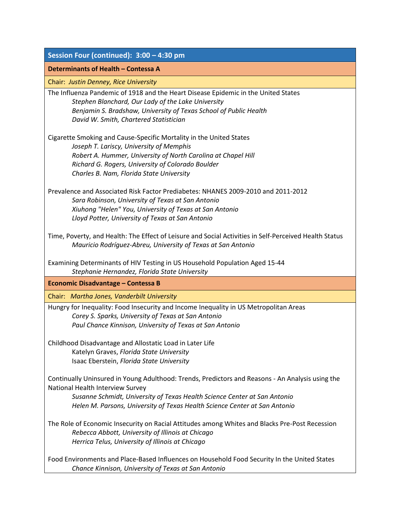| Session Four (continued): 3:00 - 4:30 pm                                                                                                                                                                                                                                                        |  |  |
|-------------------------------------------------------------------------------------------------------------------------------------------------------------------------------------------------------------------------------------------------------------------------------------------------|--|--|
| Determinants of Health - Contessa A                                                                                                                                                                                                                                                             |  |  |
| Chair: Justin Denney, Rice University                                                                                                                                                                                                                                                           |  |  |
| The Influenza Pandemic of 1918 and the Heart Disease Epidemic in the United States<br>Stephen Blanchard, Our Lady of the Lake University<br>Benjamin S. Bradshaw, University of Texas School of Public Health<br>David W. Smith, Chartered Statistician                                         |  |  |
| Cigarette Smoking and Cause-Specific Mortality in the United States<br>Joseph T. Lariscy, University of Memphis<br>Robert A. Hummer, University of North Carolina at Chapel Hill<br>Richard G. Rogers, University of Colorado Boulder<br>Charles B. Nam, Florida State University               |  |  |
| Prevalence and Associated Risk Factor Prediabetes: NHANES 2009-2010 and 2011-2012<br>Sara Robinson, University of Texas at San Antonio<br>Xiuhong "Helen" You, University of Texas at San Antonio<br>Lloyd Potter, University of Texas at San Antonio                                           |  |  |
| Time, Poverty, and Health: The Effect of Leisure and Social Activities in Self-Perceived Health Status<br>Mauricio Rodríguez-Abreu, University of Texas at San Antonio                                                                                                                          |  |  |
| Examining Determinants of HIV Testing in US Household Population Aged 15-44<br>Stephanie Hernandez, Florida State University                                                                                                                                                                    |  |  |
| <b>Economic Disadvantage - Contessa B</b>                                                                                                                                                                                                                                                       |  |  |
| Chair: Martha Jones, Vanderbilt University                                                                                                                                                                                                                                                      |  |  |
| Hungry for Inequality: Food Insecurity and Income Inequality in US Metropolitan Areas<br>Corey S. Sparks, University of Texas at San Antonio<br>Paul Chance Kinnison, University of Texas at San Antonio                                                                                        |  |  |
| Childhood Disadvantage and Allostatic Load in Later Life<br>Katelyn Graves, Florida State University<br>Isaac Eberstein, Florida State University                                                                                                                                               |  |  |
| Continually Uninsured in Young Adulthood: Trends, Predictors and Reasons - An Analysis using the<br>National Health Interview Survey<br>Susanne Schmidt, University of Texas Health Science Center at San Antonio<br>Helen M. Parsons, University of Texas Health Science Center at San Antonio |  |  |
| The Role of Economic Insecurity on Racial Attitudes among Whites and Blacks Pre-Post Recession<br>Rebecca Abbott, University of Illinois at Chicago<br>Herrica Telus, University of Illinois at Chicago                                                                                         |  |  |
| Food Environments and Place-Based Influences on Household Food Security In the United States<br>Chance Kinnison, University of Texas at San Antonio                                                                                                                                             |  |  |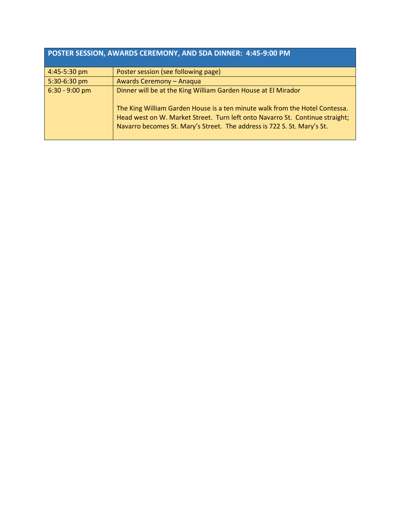| POSTER SESSION, AWARDS CEREMONY, AND SDA DINNER: 4:45-9:00 PM |                                                                                                                                                                                                                                        |  |
|---------------------------------------------------------------|----------------------------------------------------------------------------------------------------------------------------------------------------------------------------------------------------------------------------------------|--|
| 4:45-5:30 pm                                                  | Poster session (see following page)                                                                                                                                                                                                    |  |
| 5:30-6:30 pm                                                  | <b>Awards Ceremony - Anaqua</b>                                                                                                                                                                                                        |  |
| $6:30 - 9:00$ pm                                              | Dinner will be at the King William Garden House at El Mirador                                                                                                                                                                          |  |
|                                                               | The King William Garden House is a ten minute walk from the Hotel Contessa.<br>Head west on W. Market Street. Turn left onto Navarro St. Continue straight;<br>Navarro becomes St. Mary's Street. The address is 722 S. St. Mary's St. |  |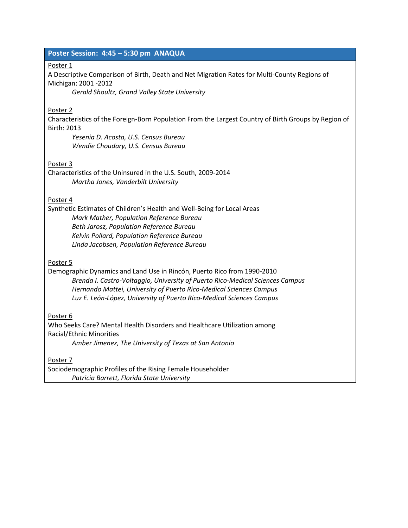#### **Poster Session: 4:45 – 5:30 pm ANAQUA**

#### Poster 1

A Descriptive Comparison of Birth, Death and Net Migration Rates for Multi-County Regions of Michigan: 2001 -2012

*Gerald Shoultz, Grand Valley State University*

#### Poster 2

Characteristics of the Foreign-Born Population From the Largest Country of Birth Groups by Region of Birth: 2013

*Yesenia D. Acosta, U.S. Census Bureau Wendie Choudary, U.S. Census Bureau*

#### Poster 3

Characteristics of the Uninsured in the U.S. South, 2009-2014 *Martha Jones, Vanderbilt University*

#### Poster 4

Synthetic Estimates of Children's Health and Well-Being for Local Areas *Mark Mather, Population Reference Bureau Beth Jarosz, Population Reference Bureau Kelvin Pollard, Population Reference Bureau Linda Jacobsen, Population Reference Bureau*

#### Poster 5

Demographic Dynamics and Land Use in Rincón, Puerto Rico from 1990-2010 *Brenda I. Castro-Voltaggio, University of Puerto Rico-Medical Sciences Campus Hernando Mattei, University of Puerto Rico-Medical Sciences Campus Luz E. León-López, University of Puerto Rico-Medical Sciences Campus*

Poster 6

Who Seeks Care? Mental Health Disorders and Healthcare Utilization among Racial/Ethnic Minorities *Amber Jimenez, The University of Texas at San Antonio*

Poster 7

Sociodemographic Profiles of the Rising Female Householder *Patricia Barrett, Florida State University*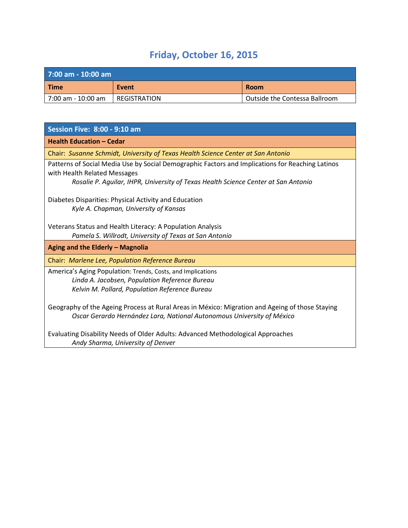# **Friday, October 16, 2015**

| $7:00$ am - $10:00$ am |                     |                               |
|------------------------|---------------------|-------------------------------|
| <b>Time</b>            | Event               | <b>Room</b>                   |
| l 7:00 am - 10:00 am   | <b>REGISTRATION</b> | Outside the Contessa Ballroom |

| <b>Session Five: 8:00 - 9:10 am</b>                                                                                                                                       |
|---------------------------------------------------------------------------------------------------------------------------------------------------------------------------|
| <b>Health Education - Cedar</b>                                                                                                                                           |
| Chair: Susanne Schmidt, University of Texas Health Science Center at San Antonio                                                                                          |
| Patterns of Social Media Use by Social Demographic Factors and Implications for Reaching Latinos<br>with Health Related Messages                                          |
| Rosalie P. Aguilar, IHPR, University of Texas Health Science Center at San Antonio                                                                                        |
| Diabetes Disparities: Physical Activity and Education                                                                                                                     |
| Kyle A. Chapman, University of Kansas                                                                                                                                     |
| Veterans Status and Health Literacy: A Population Analysis                                                                                                                |
| Pamela S. Willrodt, University of Texas at San Antonio                                                                                                                    |
| Aging and the Elderly - Magnolia                                                                                                                                          |
| Chair: Marlene Lee, Population Reference Bureau                                                                                                                           |
| America's Aging Population: Trends, Costs, and Implications                                                                                                               |
| Linda A. Jacobsen, Population Reference Bureau                                                                                                                            |
| Kelvin M. Pollard, Population Reference Bureau                                                                                                                            |
| Geography of the Ageing Process at Rural Areas in México: Migration and Ageing of those Staying<br>Oscar Gerardo Hernández Lara, National Autonomous University of México |
| Evaluating Disability Needs of Older Adults: Advanced Methodological Approaches<br>Andy Sharma, University of Denver                                                      |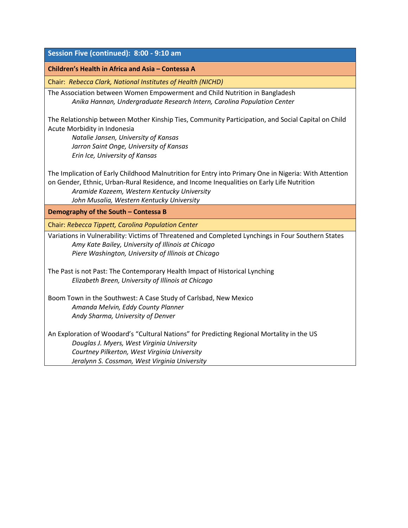#### **Session Five (continued): 8:00 - 9:10 am**

#### **Children's Health in Africa and Asia – Contessa A**

Chair: *Rebecca Clark, National Institutes of Health (NICHD)*

The Association between Women Empowerment and Child Nutrition in Bangladesh *Anika Hannan, Undergraduate Research Intern, Carolina Population Center* 

The Relationship between Mother Kinship Ties, Community Participation, and Social Capital on Child Acute Morbidity in Indonesia

*Natalie Jansen, University of Kansas Jarron Saint Onge, University of Kansas Erin Ice, University of Kansas*

The Implication of Early Childhood Malnutrition for Entry into Primary One in Nigeria: With Attention on Gender, Ethnic, Urban-Rural Residence, and Income Inequalities on Early Life Nutrition

*Aramide Kazeem, Western Kentucky University John Musalia, Western Kentucky University*

**Demography of the South – Contessa B**

Chair: *Rebecca Tippett, Carolina Population Center*

Variations in Vulnerability: Victims of Threatened and Completed Lynchings in Four Southern States *Amy Kate Bailey, University of Illinois at Chicago Piere Washington, University of Illinois at Chicago*

The Past is not Past: The Contemporary Health Impact of Historical Lynching *Elizabeth Breen, University of Illinois at Chicago*

Boom Town in the Southwest: A Case Study of Carlsbad, New Mexico *Amanda Melvin, Eddy County Planner Andy Sharma, University of Denver*

An Exploration of Woodard's "Cultural Nations" for Predicting Regional Mortality in the US *Douglas J. Myers, West Virginia University Courtney Pilkerton, West Virginia University Jeralynn S. Cossman, West Virginia University*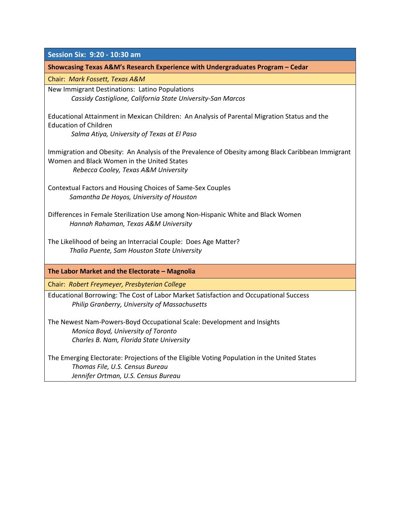| Session Six: 9:20 - 10:30 am                                                                      |
|---------------------------------------------------------------------------------------------------|
| Showcasing Texas A&M's Research Experience with Undergraduates Program - Cedar                    |
| Chair: Mark Fossett, Texas A&M                                                                    |
| New Immigrant Destinations: Latino Populations                                                    |
| Cassidy Castiglione, California State University-San Marcos                                       |
| Educational Attainment in Mexican Children: An Analysis of Parental Migration Status and the      |
| <b>Education of Children</b>                                                                      |
| Salma Atiya, University of Texas at El Paso                                                       |
| Immigration and Obesity: An Analysis of the Prevalence of Obesity among Black Caribbean Immigrant |
| Women and Black Women in the United States                                                        |
| Rebecca Cooley, Texas A&M University                                                              |
| Contextual Factors and Housing Choices of Same-Sex Couples                                        |
| Samantha De Hoyos, University of Houston                                                          |
|                                                                                                   |
| Differences in Female Sterilization Use among Non-Hispanic White and Black Women                  |
| Hannah Rahaman, Texas A&M University                                                              |
| The Likelihood of being an Interracial Couple: Does Age Matter?                                   |
| Thalia Puente, Sam Houston State University                                                       |
|                                                                                                   |
| The Labor Market and the Electorate - Magnolia                                                    |
| Chair: Robert Freymeyer, Presbyterian College                                                     |
| Educational Borrowing: The Cost of Labor Market Satisfaction and Occupational Success             |
| Philip Granberry, University of Massachusetts                                                     |
| The Newest Nam-Powers-Boyd Occupational Scale: Development and Insights                           |
| Monica Boyd, University of Toronto                                                                |
| Charles B. Nam, Florida State University                                                          |
|                                                                                                   |
| The Emerging Electorate: Projections of the Eligible Voting Population in the United States       |
| Thomas File, U.S. Census Bureau                                                                   |
| Jennifer Ortman, U.S. Census Bureau                                                               |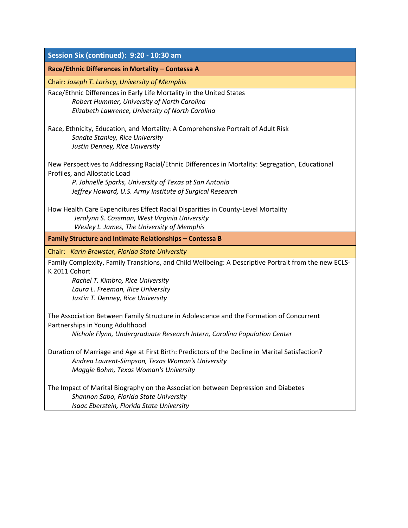| Session Six (continued): 9:20 - 10:30 am<br>Race/Ethnic Differences in Mortality - Contessa A<br>Chair: Joseph T. Lariscy, University of Memphis<br>Race/Ethnic Differences in Early Life Mortality in the United States<br>Robert Hummer, University of North Carolina<br>Elizabeth Lawrence, University of North Carolina<br>Race, Ethnicity, Education, and Mortality: A Comprehensive Portrait of Adult Risk<br>Sandte Stanley, Rice University<br>Justin Denney, Rice University<br>New Perspectives to Addressing Racial/Ethnic Differences in Mortality: Segregation, Educational<br>Profiles, and Allostatic Load<br>P. Johnelle Sparks, University of Texas at San Antonio<br>Jeffrey Howard, U.S. Army Institute of Surgical Research<br>How Health Care Expenditures Effect Racial Disparities in County-Level Mortality<br>Jeralynn S. Cossman, West Virginia University<br>Wesley L. James, The University of Memphis<br>Family Structure and Intimate Relationships - Contessa B<br>Chair: Karin Brewster, Florida State University<br>Family Complexity, Family Transitions, and Child Wellbeing: A Descriptive Portrait from the new ECLS-<br>K 2011 Cohort<br>Rachel T. Kimbro, Rice University<br>Laura L. Freeman, Rice University<br>Justin T. Denney, Rice University<br>The Association Between Family Structure in Adolescence and the Formation of Concurrent<br>Partnerships in Young Adulthood<br>Nichole Flynn, Undergraduate Research Intern, Carolina Population Center |  |
|------------------------------------------------------------------------------------------------------------------------------------------------------------------------------------------------------------------------------------------------------------------------------------------------------------------------------------------------------------------------------------------------------------------------------------------------------------------------------------------------------------------------------------------------------------------------------------------------------------------------------------------------------------------------------------------------------------------------------------------------------------------------------------------------------------------------------------------------------------------------------------------------------------------------------------------------------------------------------------------------------------------------------------------------------------------------------------------------------------------------------------------------------------------------------------------------------------------------------------------------------------------------------------------------------------------------------------------------------------------------------------------------------------------------------------------------------------------------------------------------------|--|
|                                                                                                                                                                                                                                                                                                                                                                                                                                                                                                                                                                                                                                                                                                                                                                                                                                                                                                                                                                                                                                                                                                                                                                                                                                                                                                                                                                                                                                                                                                      |  |
|                                                                                                                                                                                                                                                                                                                                                                                                                                                                                                                                                                                                                                                                                                                                                                                                                                                                                                                                                                                                                                                                                                                                                                                                                                                                                                                                                                                                                                                                                                      |  |
|                                                                                                                                                                                                                                                                                                                                                                                                                                                                                                                                                                                                                                                                                                                                                                                                                                                                                                                                                                                                                                                                                                                                                                                                                                                                                                                                                                                                                                                                                                      |  |
|                                                                                                                                                                                                                                                                                                                                                                                                                                                                                                                                                                                                                                                                                                                                                                                                                                                                                                                                                                                                                                                                                                                                                                                                                                                                                                                                                                                                                                                                                                      |  |
|                                                                                                                                                                                                                                                                                                                                                                                                                                                                                                                                                                                                                                                                                                                                                                                                                                                                                                                                                                                                                                                                                                                                                                                                                                                                                                                                                                                                                                                                                                      |  |
|                                                                                                                                                                                                                                                                                                                                                                                                                                                                                                                                                                                                                                                                                                                                                                                                                                                                                                                                                                                                                                                                                                                                                                                                                                                                                                                                                                                                                                                                                                      |  |
|                                                                                                                                                                                                                                                                                                                                                                                                                                                                                                                                                                                                                                                                                                                                                                                                                                                                                                                                                                                                                                                                                                                                                                                                                                                                                                                                                                                                                                                                                                      |  |
|                                                                                                                                                                                                                                                                                                                                                                                                                                                                                                                                                                                                                                                                                                                                                                                                                                                                                                                                                                                                                                                                                                                                                                                                                                                                                                                                                                                                                                                                                                      |  |
|                                                                                                                                                                                                                                                                                                                                                                                                                                                                                                                                                                                                                                                                                                                                                                                                                                                                                                                                                                                                                                                                                                                                                                                                                                                                                                                                                                                                                                                                                                      |  |
|                                                                                                                                                                                                                                                                                                                                                                                                                                                                                                                                                                                                                                                                                                                                                                                                                                                                                                                                                                                                                                                                                                                                                                                                                                                                                                                                                                                                                                                                                                      |  |
|                                                                                                                                                                                                                                                                                                                                                                                                                                                                                                                                                                                                                                                                                                                                                                                                                                                                                                                                                                                                                                                                                                                                                                                                                                                                                                                                                                                                                                                                                                      |  |
|                                                                                                                                                                                                                                                                                                                                                                                                                                                                                                                                                                                                                                                                                                                                                                                                                                                                                                                                                                                                                                                                                                                                                                                                                                                                                                                                                                                                                                                                                                      |  |
|                                                                                                                                                                                                                                                                                                                                                                                                                                                                                                                                                                                                                                                                                                                                                                                                                                                                                                                                                                                                                                                                                                                                                                                                                                                                                                                                                                                                                                                                                                      |  |
|                                                                                                                                                                                                                                                                                                                                                                                                                                                                                                                                                                                                                                                                                                                                                                                                                                                                                                                                                                                                                                                                                                                                                                                                                                                                                                                                                                                                                                                                                                      |  |
|                                                                                                                                                                                                                                                                                                                                                                                                                                                                                                                                                                                                                                                                                                                                                                                                                                                                                                                                                                                                                                                                                                                                                                                                                                                                                                                                                                                                                                                                                                      |  |
|                                                                                                                                                                                                                                                                                                                                                                                                                                                                                                                                                                                                                                                                                                                                                                                                                                                                                                                                                                                                                                                                                                                                                                                                                                                                                                                                                                                                                                                                                                      |  |
|                                                                                                                                                                                                                                                                                                                                                                                                                                                                                                                                                                                                                                                                                                                                                                                                                                                                                                                                                                                                                                                                                                                                                                                                                                                                                                                                                                                                                                                                                                      |  |
|                                                                                                                                                                                                                                                                                                                                                                                                                                                                                                                                                                                                                                                                                                                                                                                                                                                                                                                                                                                                                                                                                                                                                                                                                                                                                                                                                                                                                                                                                                      |  |
|                                                                                                                                                                                                                                                                                                                                                                                                                                                                                                                                                                                                                                                                                                                                                                                                                                                                                                                                                                                                                                                                                                                                                                                                                                                                                                                                                                                                                                                                                                      |  |
|                                                                                                                                                                                                                                                                                                                                                                                                                                                                                                                                                                                                                                                                                                                                                                                                                                                                                                                                                                                                                                                                                                                                                                                                                                                                                                                                                                                                                                                                                                      |  |
|                                                                                                                                                                                                                                                                                                                                                                                                                                                                                                                                                                                                                                                                                                                                                                                                                                                                                                                                                                                                                                                                                                                                                                                                                                                                                                                                                                                                                                                                                                      |  |
|                                                                                                                                                                                                                                                                                                                                                                                                                                                                                                                                                                                                                                                                                                                                                                                                                                                                                                                                                                                                                                                                                                                                                                                                                                                                                                                                                                                                                                                                                                      |  |
|                                                                                                                                                                                                                                                                                                                                                                                                                                                                                                                                                                                                                                                                                                                                                                                                                                                                                                                                                                                                                                                                                                                                                                                                                                                                                                                                                                                                                                                                                                      |  |
|                                                                                                                                                                                                                                                                                                                                                                                                                                                                                                                                                                                                                                                                                                                                                                                                                                                                                                                                                                                                                                                                                                                                                                                                                                                                                                                                                                                                                                                                                                      |  |
|                                                                                                                                                                                                                                                                                                                                                                                                                                                                                                                                                                                                                                                                                                                                                                                                                                                                                                                                                                                                                                                                                                                                                                                                                                                                                                                                                                                                                                                                                                      |  |
|                                                                                                                                                                                                                                                                                                                                                                                                                                                                                                                                                                                                                                                                                                                                                                                                                                                                                                                                                                                                                                                                                                                                                                                                                                                                                                                                                                                                                                                                                                      |  |
|                                                                                                                                                                                                                                                                                                                                                                                                                                                                                                                                                                                                                                                                                                                                                                                                                                                                                                                                                                                                                                                                                                                                                                                                                                                                                                                                                                                                                                                                                                      |  |
| Duration of Marriage and Age at First Birth: Predictors of the Decline in Marital Satisfaction?                                                                                                                                                                                                                                                                                                                                                                                                                                                                                                                                                                                                                                                                                                                                                                                                                                                                                                                                                                                                                                                                                                                                                                                                                                                                                                                                                                                                      |  |
| Andrea Laurent-Simpson, Texas Woman's University                                                                                                                                                                                                                                                                                                                                                                                                                                                                                                                                                                                                                                                                                                                                                                                                                                                                                                                                                                                                                                                                                                                                                                                                                                                                                                                                                                                                                                                     |  |
| Maggie Bohm, Texas Woman's University                                                                                                                                                                                                                                                                                                                                                                                                                                                                                                                                                                                                                                                                                                                                                                                                                                                                                                                                                                                                                                                                                                                                                                                                                                                                                                                                                                                                                                                                |  |
| The Impact of Marital Biography on the Association between Depression and Diabetes                                                                                                                                                                                                                                                                                                                                                                                                                                                                                                                                                                                                                                                                                                                                                                                                                                                                                                                                                                                                                                                                                                                                                                                                                                                                                                                                                                                                                   |  |
| Shannon Sabo, Florida State University                                                                                                                                                                                                                                                                                                                                                                                                                                                                                                                                                                                                                                                                                                                                                                                                                                                                                                                                                                                                                                                                                                                                                                                                                                                                                                                                                                                                                                                               |  |
| Isaac Eberstein, Florida State University                                                                                                                                                                                                                                                                                                                                                                                                                                                                                                                                                                                                                                                                                                                                                                                                                                                                                                                                                                                                                                                                                                                                                                                                                                                                                                                                                                                                                                                            |  |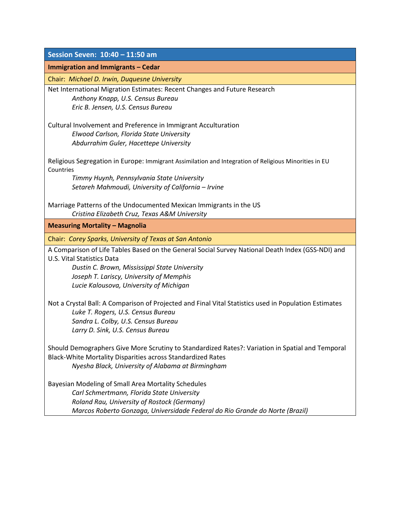| Session Seven: 10:40 - 11:50 am                                                                                                                                                                                                                                                                                                           |
|-------------------------------------------------------------------------------------------------------------------------------------------------------------------------------------------------------------------------------------------------------------------------------------------------------------------------------------------|
| Immigration and Immigrants - Cedar                                                                                                                                                                                                                                                                                                        |
| Chair: Michael D. Irwin, Duquesne University                                                                                                                                                                                                                                                                                              |
| Net International Migration Estimates: Recent Changes and Future Research<br>Anthony Knapp, U.S. Census Bureau<br>Eric B. Jensen, U.S. Census Bureau                                                                                                                                                                                      |
| Cultural Involvement and Preference in Immigrant Acculturation<br>Elwood Carlson, Florida State University<br>Abdurrahim Guler, Hacettepe University                                                                                                                                                                                      |
| Religious Segregation in Europe: Immigrant Assimilation and Integration of Religious Minorities in EU<br>Countries<br>Timmy Huynh, Pennsylvania State University<br>Setareh Mahmoudi, University of California - Irvine                                                                                                                   |
| Marriage Patterns of the Undocumented Mexican Immigrants in the US<br>Cristina Elizabeth Cruz, Texas A&M University                                                                                                                                                                                                                       |
| <b>Measuring Mortality - Magnolia</b>                                                                                                                                                                                                                                                                                                     |
| Chair: Corey Sparks, University of Texas at San Antonio<br>A Comparison of Life Tables Based on the General Social Survey National Death Index (GSS-NDI) and<br><b>U.S. Vital Statistics Data</b><br>Dustin C. Brown, Mississippi State University<br>Joseph T. Lariscy, University of Memphis<br>Lucie Kalousova, University of Michigan |
| Not a Crystal Ball: A Comparison of Projected and Final Vital Statistics used in Population Estimates<br>Luke T. Rogers, U.S. Census Bureau<br>Sandra L. Colby, U.S. Census Bureau<br>Larry D. Sink, U.S. Census Bureau                                                                                                                   |
| Should Demographers Give More Scrutiny to Standardized Rates?: Variation in Spatial and Temporal<br>Black-White Mortality Disparities across Standardized Rates<br>Nyesha Black, University of Alabama at Birmingham                                                                                                                      |
| Bayesian Modeling of Small Area Mortality Schedules<br>Carl Schmertmann, Florida State University<br>Roland Rau, University of Rostock (Germany)<br>Marcos Roberto Gonzaga, Universidade Federal do Rio Grande do Norte (Brazil)                                                                                                          |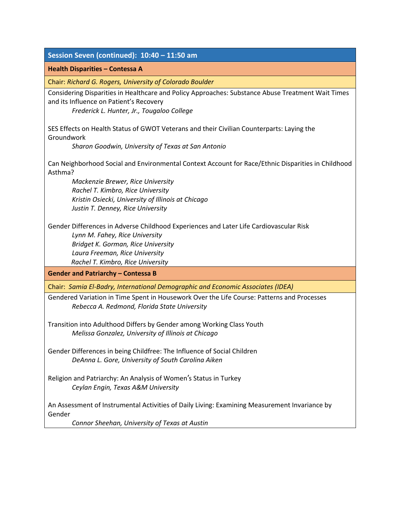| Session Seven (continued): 10:40 - 11:50 am                                                                                                                                                                                           |
|---------------------------------------------------------------------------------------------------------------------------------------------------------------------------------------------------------------------------------------|
| Health Disparities - Contessa A                                                                                                                                                                                                       |
| Chair: Richard G. Rogers, University of Colorado Boulder                                                                                                                                                                              |
| Considering Disparities in Healthcare and Policy Approaches: Substance Abuse Treatment Wait Times<br>and its Influence on Patient's Recovery<br>Frederick L. Hunter, Jr., Tougaloo College                                            |
| SES Effects on Health Status of GWOT Veterans and their Civilian Counterparts: Laying the<br>Groundwork                                                                                                                               |
| Sharon Goodwin, University of Texas at San Antonio                                                                                                                                                                                    |
| Can Neighborhood Social and Environmental Context Account for Race/Ethnic Disparities in Childhood<br>Asthma?<br>Mackenzie Brewer, Rice University                                                                                    |
| Rachel T. Kimbro, Rice University                                                                                                                                                                                                     |
| Kristin Osiecki, University of Illinois at Chicago<br>Justin T. Denney, Rice University                                                                                                                                               |
| Gender Differences in Adverse Childhood Experiences and Later Life Cardiovascular Risk<br>Lynn M. Fahey, Rice University<br>Bridget K. Gorman, Rice University<br>Laura Freeman, Rice University<br>Rachel T. Kimbro, Rice University |
| <b>Gender and Patriarchy - Contessa B</b>                                                                                                                                                                                             |
| Chair: Samia El-Badry, International Demographic and Economic Associates (IDEA)                                                                                                                                                       |
| Gendered Variation in Time Spent in Housework Over the Life Course: Patterns and Processes<br>Rebecca A. Redmond, Florida State University                                                                                            |
| Transition into Adulthood Differs by Gender among Working Class Youth<br>Melissa Gonzalez, University of Illinois at Chicago                                                                                                          |
| Gender Differences in being Childfree: The Influence of Social Children<br>DeAnna L. Gore, University of South Carolina Aiken                                                                                                         |
| Religion and Patriarchy: An Analysis of Women's Status in Turkey<br>Ceylan Engin, Texas A&M University                                                                                                                                |
| An Assessment of Instrumental Activities of Daily Living: Examining Measurement Invariance by<br>Gender<br>Connor Sheehan, University of Texas at Austin                                                                              |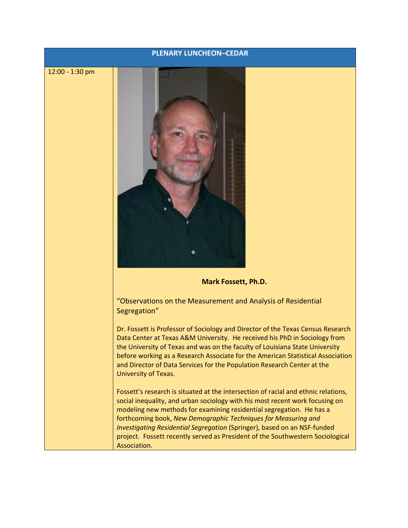#### **PLENARY LUNCHEON–CEDAR**

12:00 - 1:30 pm



#### **Mark Fossett, Ph.D.**

"Observations on the Measurement and Analysis of Residential Segregation"

Dr. Fossett is Professor of Sociology and Director of the Texas Census Research Data Center at Texas A&M University. He received his PhD in Sociology from the University of Texas and was on the faculty of Louisiana State University before working as a Research Associate for the American Statistical Association and Director of Data Services for the Population Research Center at the University of Texas.

Fossett's research is situated at the intersection of racial and ethnic relations, social inequality, and urban sociology with his most recent work focusing on modeling new methods for examining residential segregation. He has a forthcoming book, *New Demographic Techniques for Measuring and Investigating Residential Segregation* (Springer), based on an NSF-funded project. Fossett recently served as President of the Southwestern Sociological Association.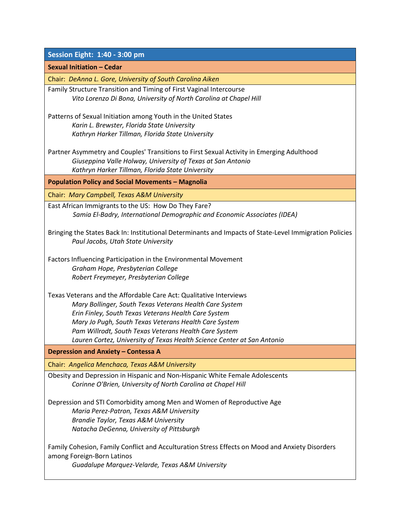| Session Eight: 1:40 - 3:00 pm                                                                                                                 |
|-----------------------------------------------------------------------------------------------------------------------------------------------|
| <b>Sexual Initiation - Cedar</b>                                                                                                              |
| Chair: DeAnna L. Gore, University of South Carolina Aiken                                                                                     |
| Family Structure Transition and Timing of First Vaginal Intercourse                                                                           |
| Vito Lorenzo Di Bona, University of North Carolina at Chapel Hill                                                                             |
| Patterns of Sexual Initiation among Youth in the United States                                                                                |
| Karin L. Brewster, Florida State University                                                                                                   |
| Kathryn Harker Tillman, Florida State University                                                                                              |
| Partner Asymmetry and Couples' Transitions to First Sexual Activity in Emerging Adulthood                                                     |
| Giuseppina Valle Holway, University of Texas at San Antonio                                                                                   |
| Kathryn Harker Tillman, Florida State University                                                                                              |
| <b>Population Policy and Social Movements - Magnolia</b>                                                                                      |
| Chair: Mary Campbell, Texas A&M University                                                                                                    |
| East African Immigrants to the US: How Do They Fare?                                                                                          |
| Samia El-Badry, International Demographic and Economic Associates (IDEA)                                                                      |
|                                                                                                                                               |
| Bringing the States Back In: Institutional Determinants and Impacts of State-Level Immigration Policies<br>Paul Jacobs, Utah State University |
|                                                                                                                                               |
| Factors Influencing Participation in the Environmental Movement                                                                               |
| Graham Hope, Presbyterian College                                                                                                             |
| Robert Freymeyer, Presbyterian College                                                                                                        |
| Texas Veterans and the Affordable Care Act: Qualitative Interviews                                                                            |
| Mary Bollinger, South Texas Veterans Health Care System                                                                                       |
| Erin Finley, South Texas Veterans Health Care System                                                                                          |
| Mary Jo Pugh, South Texas Veterans Health Care System                                                                                         |
| Pam Willrodt, South Texas Veterans Health Care System                                                                                         |
| Lauren Cortez, University of Texas Health Science Center at San Antonio                                                                       |
| Depression and Anxiety - Contessa A                                                                                                           |
| Chair: Angelica Menchaca, Texas A&M University                                                                                                |
| Obesity and Depression in Hispanic and Non-Hispanic White Female Adolescents                                                                  |
| Corinne O'Brien, University of North Carolina at Chapel Hill                                                                                  |
| Depression and STI Comorbidity among Men and Women of Reproductive Age                                                                        |
| Maria Perez-Patron, Texas A&M University                                                                                                      |
| Brandie Taylor, Texas A&M University                                                                                                          |
| Natacha DeGenna, University of Pittsburgh                                                                                                     |
| Family Cohesion, Family Conflict and Acculturation Stress Effects on Mood and Anxiety Disorders                                               |
| among Foreign-Born Latinos                                                                                                                    |
| Guadalupe Marquez-Velarde, Texas A&M University                                                                                               |
|                                                                                                                                               |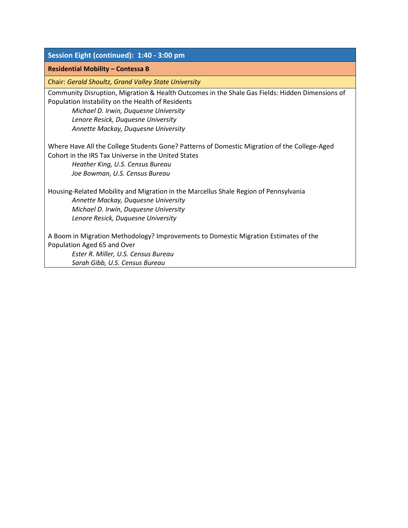| Session Eight (continued): 1:40 - 3:00 pm                                                                                                            |
|------------------------------------------------------------------------------------------------------------------------------------------------------|
| <b>Residential Mobility - Contessa B</b>                                                                                                             |
| Chair: Gerald Shoultz, Grand Valley State University                                                                                                 |
| Community Disruption, Migration & Health Outcomes in the Shale Gas Fields: Hidden Dimensions of<br>Population Instability on the Health of Residents |
| Michael D. Irwin, Duquesne University                                                                                                                |
| Lenore Resick, Duquesne University                                                                                                                   |
| Annette Mackay, Duquesne University                                                                                                                  |
| Where Have All the College Students Gone? Patterns of Domestic Migration of the College-Aged                                                         |
| Cohort in the IRS Tax Universe in the United States                                                                                                  |
| Heather King, U.S. Census Bureau                                                                                                                     |
| Joe Bowman, U.S. Census Bureau                                                                                                                       |
| Housing-Related Mobility and Migration in the Marcellus Shale Region of Pennsylvania                                                                 |
| Annette Mackay, Duquesne University                                                                                                                  |
| Michael D. Irwin, Duquesne University                                                                                                                |
| Lenore Resick, Duquesne University                                                                                                                   |
| A Boom in Migration Methodology? Improvements to Domestic Migration Estimates of the                                                                 |
| Population Aged 65 and Over                                                                                                                          |
| Ester R. Miller, U.S. Census Bureau                                                                                                                  |
| Sarah Gibb, U.S. Census Bureau                                                                                                                       |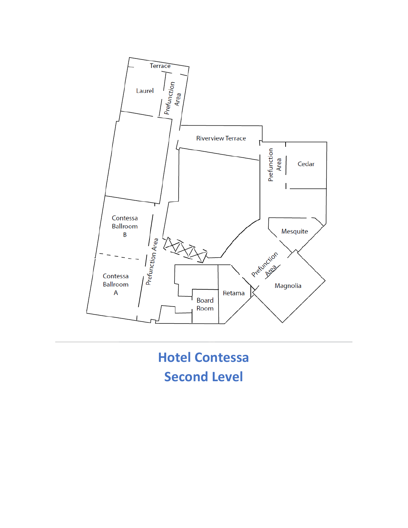

**Hotel Contessa Second Level**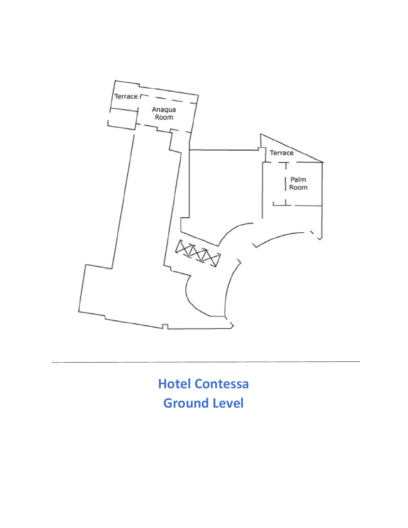

**Hotel Contessa Ground Level**